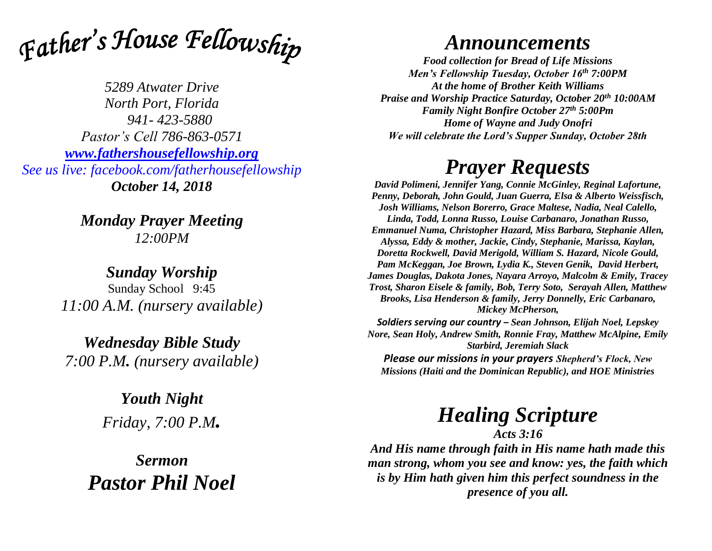

*5289 Atwater Drive North Port, Florida 941- 423-5880 Pastor's Cell 786-863-0571 [www.fathershousefellowship.org](http://www.fathershousefellowship.org/) See us live: facebook.com/fatherhousefellowship October 14, 2018*

> *Monday Prayer Meeting 12:00PM*

*Sunday Worship* Sunday School 9:45 *11:00 A.M. (nursery available)*

*Wednesday Bible Study 7:00 P.M. (nursery available)*

> *Youth Night Friday, 7:00 P.M.*

*Sermon Pastor Phil Noel*

## *Announcements*

*Food collection for Bread of Life Missions Men's Fellowship Tuesday, October 16th 7:00PM At the home of Brother Keith Williams Praise and Worship Practice Saturday, October 20th 10:00AM Family Night Bonfire October 27th 5:00Pm Home of Wayne and Judy Onofri We will celebrate the Lord's Supper Sunday, October 28th*

## *Prayer Requests*

*David Polimeni, Jennifer Yang, Connie McGinley, Reginal Lafortune, Penny, Deborah, John Gould, Juan Guerra, Elsa & Alberto Weissfisch, Josh Williams, Nelson Borerro, Grace Maltese, Nadia, Neal Calello, Linda, Todd, Lonna Russo, Louise Carbanaro, Jonathan Russo, Emmanuel Numa, Christopher Hazard, Miss Barbara, Stephanie Allen, Alyssa, Eddy & mother, Jackie, Cindy, Stephanie, Marissa, Kaylan, Doretta Rockwell, David Merigold, William S. Hazard, Nicole Gould, Pam McKeggan, Joe Brown, Lydia K., Steven Genik, David Herbert, James Douglas, Dakota Jones, Nayara Arroyo, Malcolm & Emily, Tracey Trost, Sharon Eisele & family, Bob, Terry Soto, Serayah Allen, Matthew Brooks, Lisa Henderson & family, Jerry Donnelly, Eric Carbanaro, Mickey McPherson,* 

*Soldiers serving our country – Sean Johnson, Elijah Noel, Lepskey Nore, Sean Holy, Andrew Smith, Ronnie Fray, Matthew McAlpine, Emily Starbird, Jeremiah Slack*

*Please our missions in your prayers Shepherd's Flock, New Missions (Haiti and the Dominican Republic), and HOE Ministries*

## *Healing Scripture*

*Acts 3:16 And His name through faith in His name hath made this man strong, whom you see and know: yes, the faith which is by Him hath given him this perfect soundness in the presence of you all.*